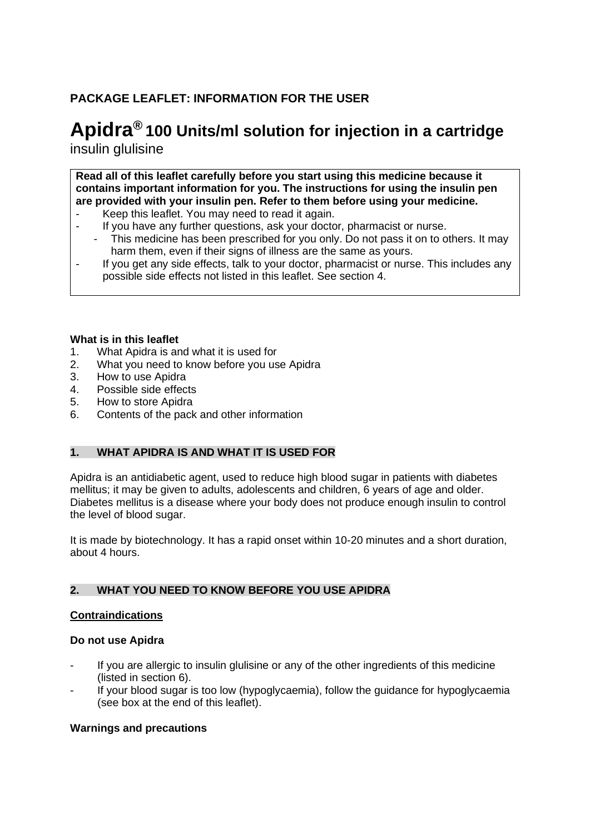# **PACKAGE LEAFLET: INFORMATION FOR THE USER**

# **Apidra® 100 Units/ml solution for injection in a cartridge** insulin glulisine

**Read all of this leaflet carefully before you start using this medicine because it contains important information for you. The instructions for using the insulin pen are provided with your insulin pen. Refer to them before using your medicine.**

- Keep this leaflet. You may need to read it again.
- If you have any further questions, ask your doctor, pharmacist or nurse.
	- This medicine has been prescribed for you only. Do not pass it on to others. It may harm them, even if their signs of illness are the same as yours.
- If you get any side effects, talk to your doctor, pharmacist or nurse. This includes any possible side effects not listed in this leaflet. See section 4.

### **What is in this leaflet**

- 1. What Apidra is and what it is used for
- 2. What you need to know before you use Apidra
- 3. How to use Apidra
- 4. Possible side effects
- 5. How to store Apidra
- 6. Contents of the pack and other information

# **1. WHAT APIDRA IS AND WHAT IT IS USED FOR**

Apidra is an antidiabetic agent, used to reduce high blood sugar in patients with diabetes mellitus; it may be given to adults, adolescents and children, 6 years of age and older. Diabetes mellitus is a disease where your body does not produce enough insulin to control the level of blood sugar.

It is made by biotechnology. It has a rapid onset within 10-20 minutes and a short duration, about 4 hours.

# **2. WHAT YOU NEED TO KNOW BEFORE YOU USE APIDRA**

### **Contraindications**

### **Do not use Apidra**

- If you are allergic to insulin glulisine or any of the other ingredients of this medicine (listed in section 6).
- If your blood sugar is too low (hypoglycaemia), follow the guidance for hypoglycaemia (see box at the end of this leaflet).

### **Warnings and precautions**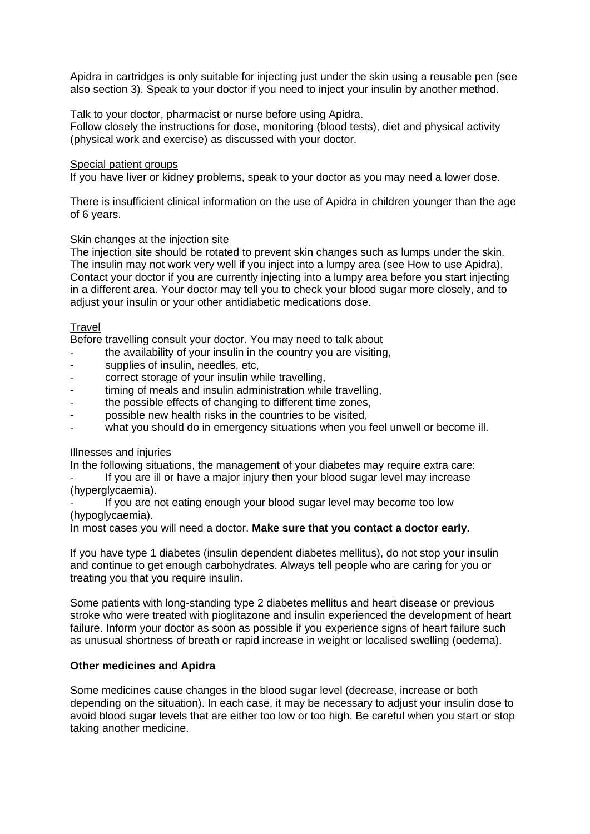Apidra in cartridges is only suitable for injecting just under the skin using a reusable pen (see also section 3). Speak to your doctor if you need to inject your insulin by another method.

Talk to your doctor, pharmacist or nurse before using Apidra.

Follow closely the instructions for dose, monitoring (blood tests), diet and physical activity (physical work and exercise) as discussed with your doctor.

#### Special patient groups

If you have liver or kidney problems, speak to your doctor as you may need a lower dose.

There is insufficient clinical information on the use of Apidra in children younger than the age of 6 years.

# Skin changes at the injection site

The injection site should be rotated to prevent skin changes such as lumps under the skin. The insulin may not work very well if you inject into a lumpy area (see How to use Apidra). Contact your doctor if you are currently injecting into a lumpy area before you start injecting in a different area. Your doctor may tell you to check your blood sugar more closely, and to adjust your insulin or your other antidiabetic medications dose.

### Travel

Before travelling consult your doctor. You may need to talk about

- the availability of your insulin in the country you are visiting,
- supplies of insulin, needles, etc.
- correct storage of your insulin while travelling,
- timing of meals and insulin administration while travelling,
- the possible effects of changing to different time zones,
- possible new health risks in the countries to be visited,
- what you should do in emergency situations when you feel unwell or become ill.

### Illnesses and injuries

In the following situations, the management of your diabetes may require extra care:

If you are ill or have a major injury then your blood sugar level may increase (hyperglycaemia).

If you are not eating enough your blood sugar level may become too low (hypoglycaemia).

In most cases you will need a doctor. **Make sure that you contact a doctor early.** 

If you have type 1 diabetes (insulin dependent diabetes mellitus), do not stop your insulin and continue to get enough carbohydrates. Always tell people who are caring for you or treating you that you require insulin.

Some patients with long-standing type 2 diabetes mellitus and heart disease or previous stroke who were treated with pioglitazone and insulin experienced the development of heart failure. Inform your doctor as soon as possible if you experience signs of heart failure such as unusual shortness of breath or rapid increase in weight or localised swelling (oedema).

#### **Other medicines and Apidra**

Some medicines cause changes in the blood sugar level (decrease, increase or both depending on the situation). In each case, it may be necessary to adjust your insulin dose to avoid blood sugar levels that are either too low or too high. Be careful when you start or stop taking another medicine.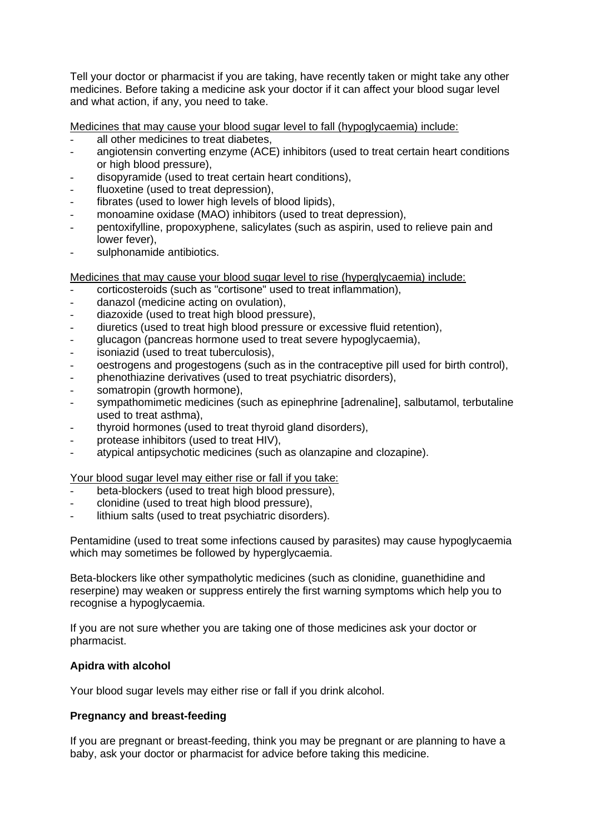Tell your doctor or pharmacist if you are taking, have recently taken or might take any other medicines. Before taking a medicine ask your doctor if it can affect your blood sugar level and what action, if any, you need to take.

Medicines that may cause your blood sugar level to fall (hypoglycaemia) include:

- all other medicines to treat diabetes,
- angiotensin converting enzyme (ACE) inhibitors (used to treat certain heart conditions or high blood pressure),
- disopyramide (used to treat certain heart conditions),
- fluoxetine (used to treat depression),
- fibrates (used to lower high levels of blood lipids),
- monoamine oxidase (MAO) inhibitors (used to treat depression),
- pentoxifylline, propoxyphene, salicylates (such as aspirin, used to relieve pain and lower fever),
- sulphonamide antibiotics.

Medicines that may cause your blood sugar level to rise (hyperglycaemia) include:

- corticosteroids (such as "cortisone" used to treat inflammation),
- danazol (medicine acting on ovulation),
- diazoxide (used to treat high blood pressure),
- diuretics (used to treat high blood pressure or excessive fluid retention),
- glucagon (pancreas hormone used to treat severe hypoglycaemia),
- isoniazid (used to treat tuberculosis),
- oestrogens and progestogens (such as in the contraceptive pill used for birth control).
- phenothiazine derivatives (used to treat psychiatric disorders),
- somatropin (growth hormone),
- sympathomimetic medicines (such as epinephrine [adrenaline], salbutamol, terbutaline used to treat asthma),
- thyroid hormones (used to treat thyroid gland disorders),
- protease inhibitors (used to treat HIV),
- atypical antipsychotic medicines (such as olanzapine and clozapine).

Your blood sugar level may either rise or fall if you take:

- beta-blockers (used to treat high blood pressure),
- clonidine (used to treat high blood pressure),
- lithium salts (used to treat psychiatric disorders).

Pentamidine (used to treat some infections caused by parasites) may cause hypoglycaemia which may sometimes be followed by hyperglycaemia.

Beta-blockers like other sympatholytic medicines (such as clonidine, guanethidine and reserpine) may weaken or suppress entirely the first warning symptoms which help you to recognise a hypoglycaemia.

If you are not sure whether you are taking one of those medicines ask your doctor or pharmacist.

### **Apidra with alcohol**

Your blood sugar levels may either rise or fall if you drink alcohol.

### **Pregnancy and breast-feeding**

If you are pregnant or breast-feeding, think you may be pregnant or are planning to have a baby, ask your doctor or pharmacist for advice before taking this medicine.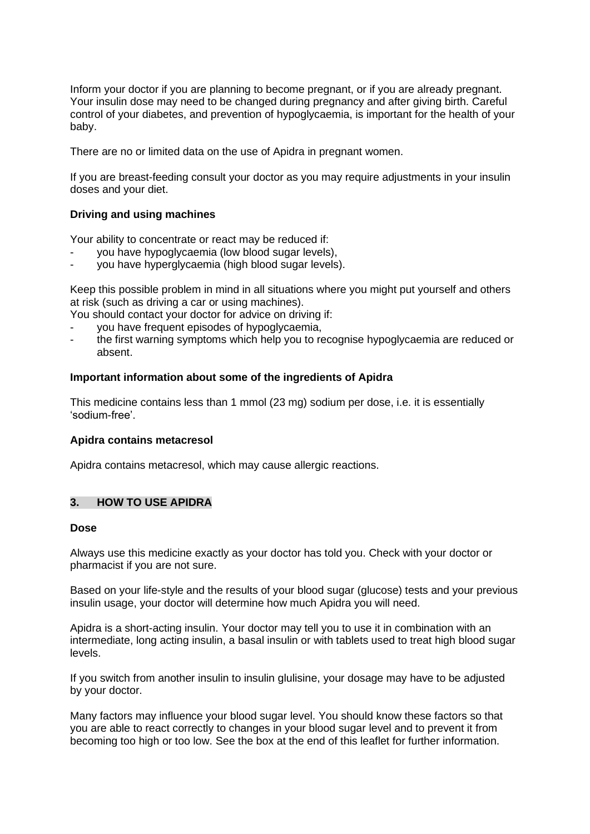Inform your doctor if you are planning to become pregnant, or if you are already pregnant. Your insulin dose may need to be changed during pregnancy and after giving birth. Careful control of your diabetes, and prevention of hypoglycaemia, is important for the health of your baby.

There are no or limited data on the use of Apidra in pregnant women.

If you are breast-feeding consult your doctor as you may require adjustments in your insulin doses and your diet.

### **Driving and using machines**

Your ability to concentrate or react may be reduced if:

- you have hypoglycaemia (low blood sugar levels),
- you have hyperglycaemia (high blood sugar levels).

Keep this possible problem in mind in all situations where you might put yourself and others at risk (such as driving a car or using machines).

You should contact your doctor for advice on driving if:

- you have frequent episodes of hypoglycaemia,
- the first warning symptoms which help you to recognise hypoglycaemia are reduced or absent.

#### **Important information about some of the ingredients of Apidra**

This medicine contains less than 1 mmol (23 mg) sodium per dose, i.e. it is essentially 'sodium-free'.

#### **Apidra contains metacresol**

Apidra contains metacresol, which may cause allergic reactions.

### **3. HOW TO USE APIDRA**

#### **Dose**

Always use this medicine exactly as your doctor has told you. Check with your doctor or pharmacist if you are not sure.

Based on your life-style and the results of your blood sugar (glucose) tests and your previous insulin usage, your doctor will determine how much Apidra you will need.

Apidra is a short-acting insulin. Your doctor may tell you to use it in combination with an intermediate, long acting insulin, a basal insulin or with tablets used to treat high blood sugar levels.

If you switch from another insulin to insulin glulisine, your dosage may have to be adjusted by your doctor.

Many factors may influence your blood sugar level. You should know these factors so that you are able to react correctly to changes in your blood sugar level and to prevent it from becoming too high or too low. See the box at the end of this leaflet for further information.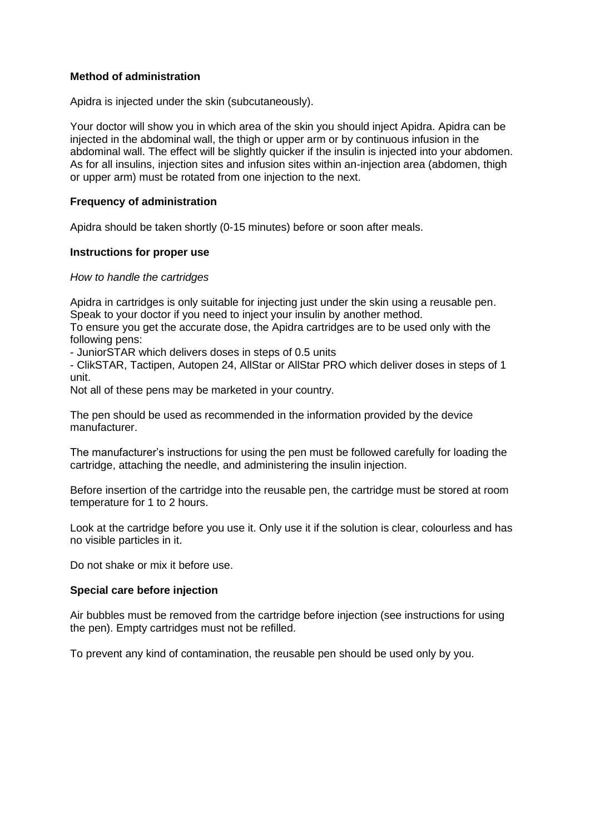### **Method of administration**

Apidra is injected under the skin (subcutaneously).

Your doctor will show you in which area of the skin you should inject Apidra. Apidra can be injected in the abdominal wall, the thigh or upper arm or by continuous infusion in the abdominal wall. The effect will be slightly quicker if the insulin is injected into your abdomen. As for all insulins, injection sites and infusion sites within an-injection area (abdomen, thigh or upper arm) must be rotated from one injection to the next.

### **Frequency of administration**

Apidra should be taken shortly (0-15 minutes) before or soon after meals.

#### **Instructions for proper use**

#### *How to handle the cartridges*

Apidra in cartridges is only suitable for injecting just under the skin using a reusable pen. Speak to your doctor if you need to inject your insulin by another method.

To ensure you get the accurate dose, the Apidra cartridges are to be used only with the following pens:

- JuniorSTAR which delivers doses in steps of 0.5 units

- ClikSTAR, Tactipen, Autopen 24, AllStar or AllStar PRO which deliver doses in steps of 1 unit.

Not all of these pens may be marketed in your country.

The pen should be used as recommended in the information provided by the device manufacturer.

The manufacturer's instructions for using the pen must be followed carefully for loading the cartridge, attaching the needle, and administering the insulin injection.

Before insertion of the cartridge into the reusable pen, the cartridge must be stored at room temperature for 1 to 2 hours.

Look at the cartridge before you use it. Only use it if the solution is clear, colourless and has no visible particles in it.

Do not shake or mix it before use.

### **Special care before injection**

Air bubbles must be removed from the cartridge before injection (see instructions for using the pen). Empty cartridges must not be refilled.

To prevent any kind of contamination, the reusable pen should be used only by you.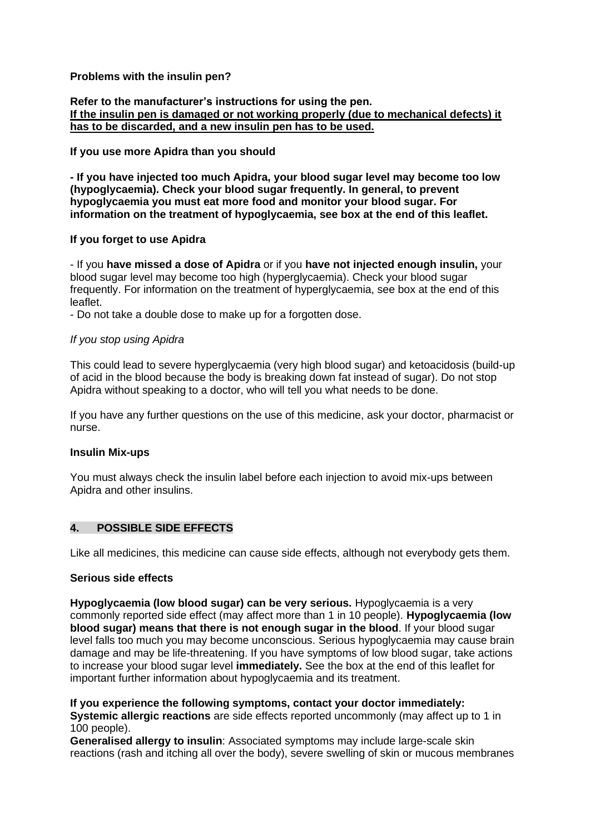### **Problems with the insulin pen?**

**Refer to the manufacturer's instructions for using the pen. If the insulin pen is damaged or not working properly (due to mechanical defects) it has to be discarded, and a new insulin pen has to be used.**

### **If you use more Apidra than you should**

**- If you have injected too much Apidra, your blood sugar level may become too low (hypoglycaemia). Check your blood sugar frequently. In general, to prevent hypoglycaemia you must eat more food and monitor your blood sugar. For information on the treatment of hypoglycaemia, see box at the end of this leaflet.**

#### **If you forget to use Apidra**

- If you **have missed a dose of Apidra** or if you **have not injected enough insulin,** your blood sugar level may become too high (hyperglycaemia). Check your blood sugar frequently. For information on the treatment of hyperglycaemia, see box at the end of this leaflet.

- Do not take a double dose to make up for a forgotten dose.

### *If you stop using Apidra*

This could lead to severe hyperglycaemia (very high blood sugar) and ketoacidosis (build-up of acid in the blood because the body is breaking down fat instead of sugar). Do not stop Apidra without speaking to a doctor, who will tell you what needs to be done.

If you have any further questions on the use of this medicine, ask your doctor, pharmacist or nurse.

### **Insulin Mix-ups**

You must always check the insulin label before each injection to avoid mix-ups between Apidra and other insulins.

## **4. POSSIBLE SIDE EFFECTS**

Like all medicines, this medicine can cause side effects, although not everybody gets them.

### **Serious side effects**

**Hypoglycaemia (low blood sugar) can be very serious.** Hypoglycaemia is a very commonly reported side effect (may affect more than 1 in 10 people). **Hypoglycaemia (low blood sugar) means that there is not enough sugar in the blood**. If your blood sugar level falls too much you may become unconscious. Serious hypoglycaemia may cause brain damage and may be life-threatening. If you have symptoms of low blood sugar, take actions to increase your blood sugar level **immediately.** See the box at the end of this leaflet for important further information about hypoglycaemia and its treatment.

**If you experience the following symptoms, contact your doctor immediately: Systemic allergic reactions** are side effects reported uncommonly (may affect up to 1 in 100 people).

**Generalised allergy to insulin**: Associated symptoms may include large-scale skin reactions (rash and itching all over the body), severe swelling of skin or mucous membranes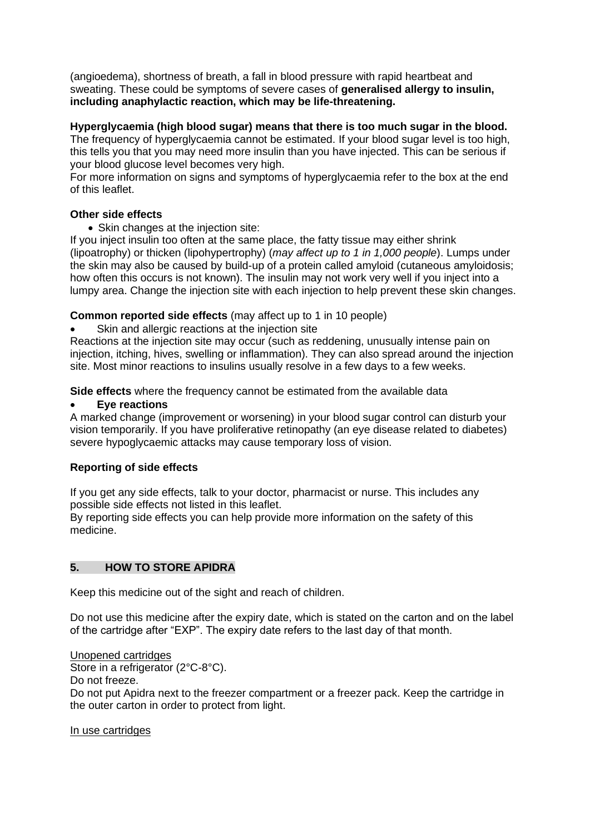(angioedema), shortness of breath, a fall in blood pressure with rapid heartbeat and sweating. These could be symptoms of severe cases of **generalised allergy to insulin, including anaphylactic reaction, which may be life-threatening.**

### **Hyperglycaemia (high blood sugar) means that there is too much sugar in the blood.**

The frequency of hyperglycaemia cannot be estimated. If your blood sugar level is too high, this tells you that you may need more insulin than you have injected. This can be serious if your blood glucose level becomes very high.

For more information on signs and symptoms of hyperglycaemia refer to the box at the end of this leaflet.

### **Other side effects**

• Skin changes at the injection site:

If you inject insulin too often at the same place, the fatty tissue may either shrink (lipoatrophy) or thicken (lipohypertrophy) (*may affect up to 1 in 1,000 people*). Lumps under the skin may also be caused by build-up of a protein called amyloid (cutaneous amyloidosis; how often this occurs is not known). The insulin may not work very well if you inject into a lumpy area. Change the injection site with each injection to help prevent these skin changes.

### **Common reported side effects** (may affect up to 1 in 10 people)

Skin and allergic reactions at the injection site

Reactions at the injection site may occur (such as reddening, unusually intense pain on injection, itching, hives, swelling or inflammation). They can also spread around the injection site. Most minor reactions to insulins usually resolve in a few days to a few weeks.

**Side effects** where the frequency cannot be estimated from the available data

### • **Eye reactions**

A marked change (improvement or worsening) in your blood sugar control can disturb your vision temporarily. If you have proliferative retinopathy (an eye disease related to diabetes) severe hypoglycaemic attacks may cause temporary loss of vision.

# **Reporting of side effects**

If you get any side effects, talk to your doctor, pharmacist or nurse. This includes any possible side effects not listed in this leaflet.

By reporting side effects you can help provide more information on the safety of this medicine.

# **5. HOW TO STORE APIDRA**

Keep this medicine out of the sight and reach of children.

Do not use this medicine after the expiry date, which is stated on the carton and on the label of the cartridge after "EXP". The expiry date refers to the last day of that month.

Unopened cartridges

Store in a refrigerator (2°C-8°C).

Do not freeze.

Do not put Apidra next to the freezer compartment or a freezer pack. Keep the cartridge in the outer carton in order to protect from light.

### In use cartridges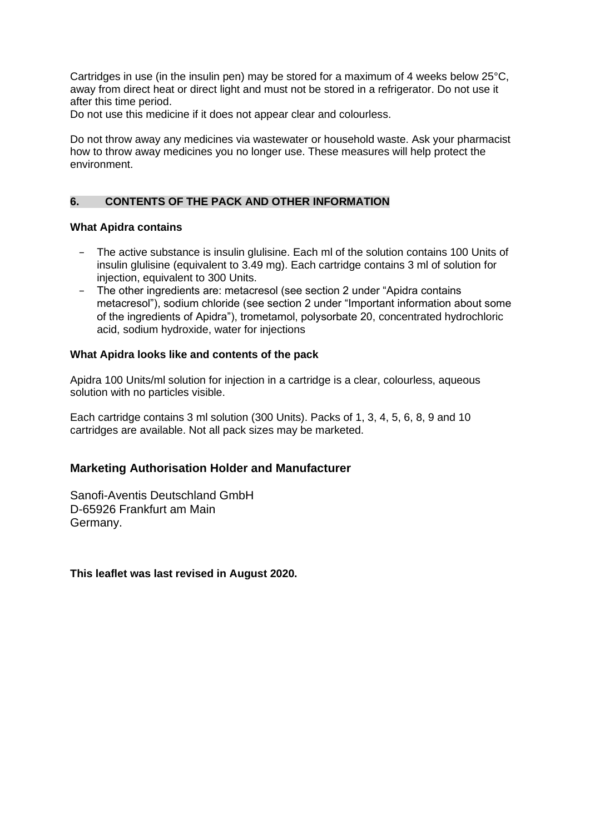Cartridges in use (in the insulin pen) may be stored for a maximum of 4 weeks below 25°C, away from direct heat or direct light and must not be stored in a refrigerator. Do not use it after this time period.

Do not use this medicine if it does not appear clear and colourless.

Do not throw away any medicines via wastewater or household waste. Ask your pharmacist how to throw away medicines you no longer use. These measures will help protect the environment.

### **6. CONTENTS OF THE PACK AND OTHER INFORMATION**

#### **What Apidra contains**

- − The active substance is insulin glulisine. Each ml of the solution contains 100 Units of insulin glulisine (equivalent to 3.49 mg). Each cartridge contains 3 ml of solution for injection, equivalent to 300 Units.
- − The other ingredients are: metacresol (see section 2 under "Apidra contains metacresol"), sodium chloride (see section 2 under "Important information about some of the ingredients of Apidra"), trometamol, polysorbate 20, concentrated hydrochloric acid, sodium hydroxide, water for injections

#### **What Apidra looks like and contents of the pack**

Apidra 100 Units/ml solution for injection in a cartridge is a clear, colourless, aqueous solution with no particles visible.

Each cartridge contains 3 ml solution (300 Units). Packs of 1, 3, 4, 5, 6, 8, 9 and 10 cartridges are available. Not all pack sizes may be marketed.

### **Marketing Authorisation Holder and Manufacturer**

Sanofi-Aventis Deutschland GmbH D-65926 Frankfurt am Main Germany.

**This leaflet was last revised in August 2020.**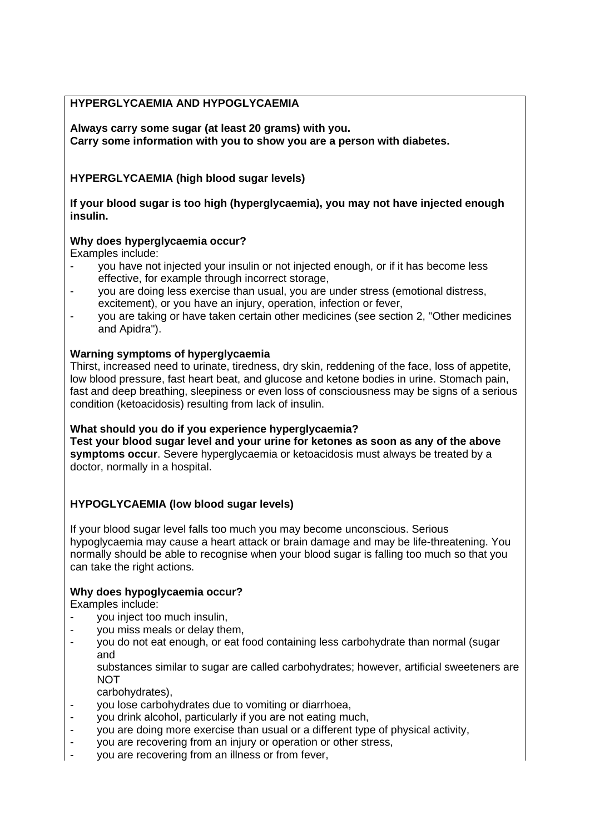# **HYPERGLYCAEMIA AND HYPOGLYCAEMIA**

**Always carry some sugar (at least 20 grams) with you. Carry some information with you to show you are a person with diabetes.**

# **HYPERGLYCAEMIA (high blood sugar levels)**

**If your blood sugar is too high (hyperglycaemia), you may not have injected enough insulin.**

# **Why does hyperglycaemia occur?**

Examples include:

- you have not injected your insulin or not injected enough, or if it has become less effective, for example through incorrect storage,
- you are doing less exercise than usual, you are under stress (emotional distress, excitement), or you have an injury, operation, infection or fever,
- you are taking or have taken certain other medicines (see section 2, "Other medicines and Apidra").

# **Warning symptoms of hyperglycaemia**

Thirst, increased need to urinate, tiredness, dry skin, reddening of the face, loss of appetite, low blood pressure, fast heart beat, and glucose and ketone bodies in urine. Stomach pain, fast and deep breathing, sleepiness or even loss of consciousness may be signs of a serious condition (ketoacidosis) resulting from lack of insulin.

# **What should you do if you experience hyperglycaemia?**

**Test your blood sugar level and your urine for ketones as soon as any of the above symptoms occur**. Severe hyperglycaemia or ketoacidosis must always be treated by a doctor, normally in a hospital.

# **HYPOGLYCAEMIA (low blood sugar levels)**

If your blood sugar level falls too much you may become unconscious. Serious hypoglycaemia may cause a heart attack or brain damage and may be life-threatening. You normally should be able to recognise when your blood sugar is falling too much so that you can take the right actions.

# **Why does hypoglycaemia occur?**

Examples include:

- you inject too much insulin,
- you miss meals or delay them,
- you do not eat enough, or eat food containing less carbohydrate than normal (sugar and

substances similar to sugar are called carbohydrates; however, artificial sweeteners are **NOT** 

- carbohydrates),
- you lose carbohydrates due to vomiting or diarrhoea,
- you drink alcohol, particularly if you are not eating much,
- you are doing more exercise than usual or a different type of physical activity,
- you are recovering from an injury or operation or other stress,
- you are recovering from an illness or from fever,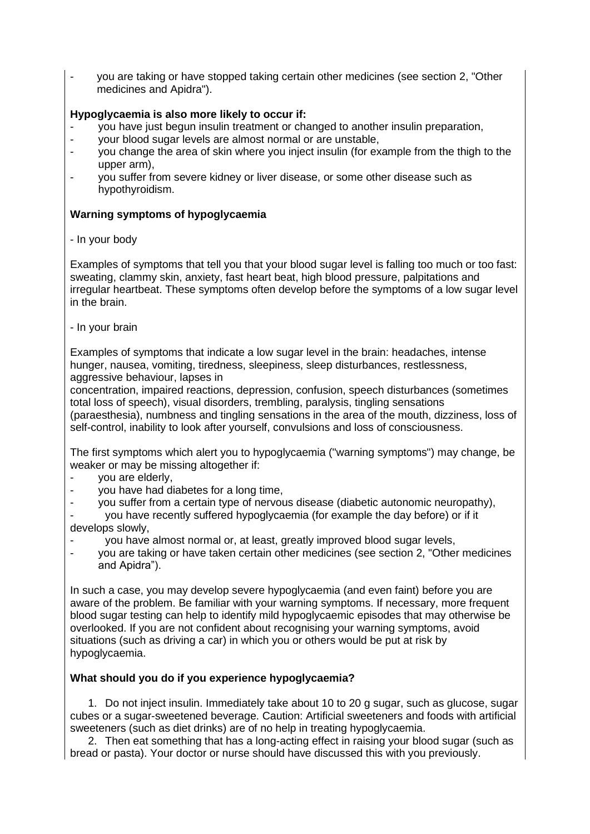you are taking or have stopped taking certain other medicines (see section 2, "Other medicines and Apidra").

# **Hypoglycaemia is also more likely to occur if:**

- you have just begun insulin treatment or changed to another insulin preparation,
- your blood sugar levels are almost normal or are unstable,
- you change the area of skin where you inject insulin (for example from the thigh to the upper arm),
- you suffer from severe kidney or liver disease, or some other disease such as hypothyroidism.

### **Warning symptoms of hypoglycaemia**

- In your body

Examples of symptoms that tell you that your blood sugar level is falling too much or too fast: sweating, clammy skin, anxiety, fast heart beat, high blood pressure, palpitations and irregular heartbeat. These symptoms often develop before the symptoms of a low sugar level in the brain.

- In your brain

Examples of symptoms that indicate a low sugar level in the brain: headaches, intense hunger, nausea, vomiting, tiredness, sleepiness, sleep disturbances, restlessness, aggressive behaviour, lapses in

concentration, impaired reactions, depression, confusion, speech disturbances (sometimes total loss of speech), visual disorders, trembling, paralysis, tingling sensations (paraesthesia), numbness and tingling sensations in the area of the mouth, dizziness, loss of self-control, inability to look after yourself, convulsions and loss of consciousness.

The first symptoms which alert you to hypoglycaemia ("warning symptoms") may change, be weaker or may be missing altogether if:

- you are elderly,
- you have had diabetes for a long time,
- you suffer from a certain type of nervous disease (diabetic autonomic neuropathy),
- you have recently suffered hypoglycaemia (for example the day before) or if it develops slowly,
- you have almost normal or, at least, greatly improved blood sugar levels,
- you are taking or have taken certain other medicines (see section 2, "Other medicines and Apidra").

In such a case, you may develop severe hypoglycaemia (and even faint) before you are aware of the problem. Be familiar with your warning symptoms. If necessary, more frequent blood sugar testing can help to identify mild hypoglycaemic episodes that may otherwise be overlooked. If you are not confident about recognising your warning symptoms, avoid situations (such as driving a car) in which you or others would be put at risk by hypoglycaemia.

# **What should you do if you experience hypoglycaemia?**

1. Do not inject insulin. Immediately take about 10 to 20 g sugar, such as glucose, sugar cubes or a sugar-sweetened beverage. Caution: Artificial sweeteners and foods with artificial sweeteners (such as diet drinks) are of no help in treating hypoglycaemia.

2. Then eat something that has a long-acting effect in raising your blood sugar (such as bread or pasta). Your doctor or nurse should have discussed this with you previously.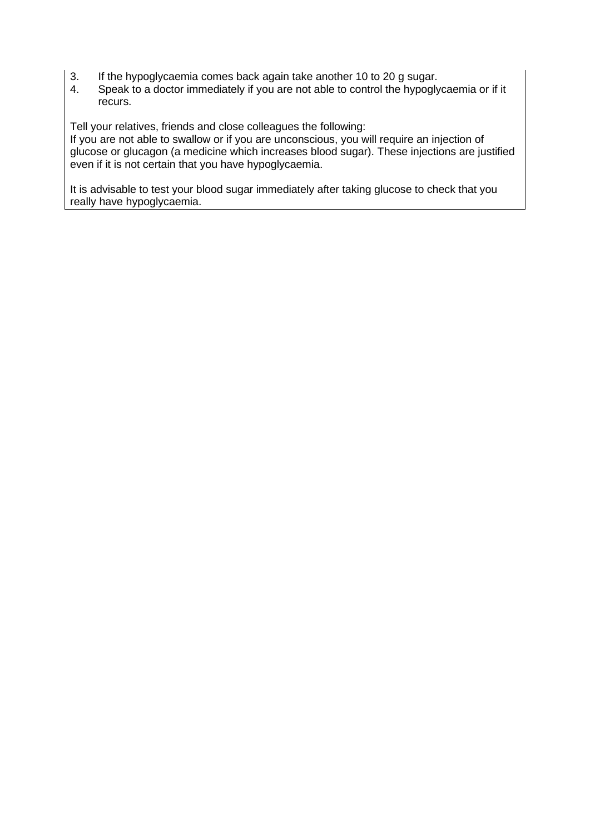- 3. If the hypoglycaemia comes back again take another 10 to 20 g sugar.
- 4. Speak to a doctor immediately if you are not able to control the hypoglycaemia or if it recurs.

Tell your relatives, friends and close colleagues the following:

If you are not able to swallow or if you are unconscious, you will require an injection of glucose or glucagon (a medicine which increases blood sugar). These injections are justified even if it is not certain that you have hypoglycaemia.

It is advisable to test your blood sugar immediately after taking glucose to check that you really have hypoglycaemia.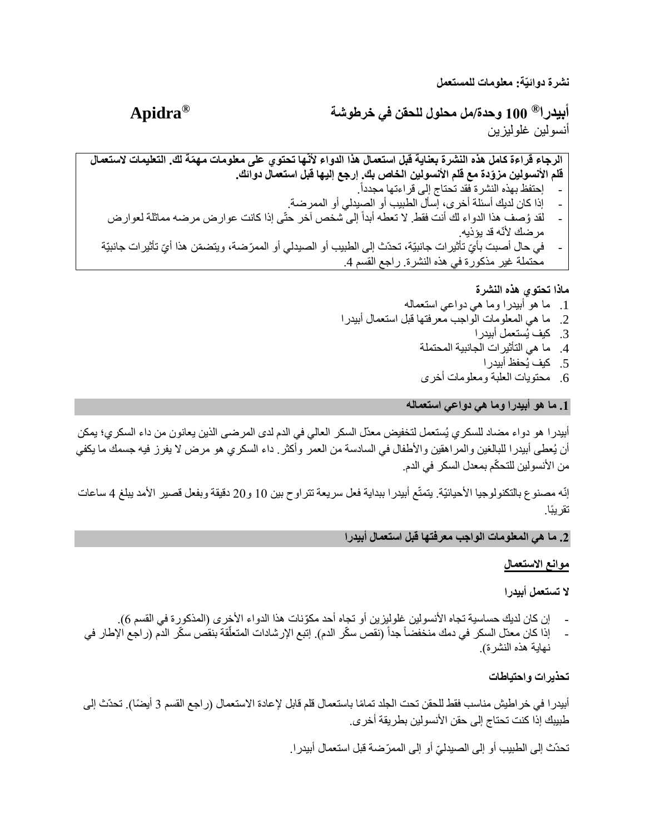**نشرة دوائيّة: معلومات للمستعمل**

**<sup>R</sup>Apidra 100 وحدة/مل محلول للحقن في خرطوشة <sup>R</sup> أبيدرا** أنسولين غلوليزين

**استعمال هذا الدواء ألنّها تحتوي على معلومات مه ّم التعليمات الستعمال الرجاء قراءة كامل هذه النشرة بعناية قبل ة لك. قلم األنسولين مز ّودة مع قلم األنسولين الخاص بك. إرجع إليها قبل استعمال دوائك.**  - إحتفظ بهذه النشرة فقد تحتاج إلى قراءتها مجددا.ً - إذا كان لديك أسئلة أخرى، إسأل الطبيب أو الصيدلي أو الممرضة. - لقد وُصف هذا الدواء لك أنت فقط. لا تعطه أبداً إلى شخص آخر حتّى إذا كانت عوارض مرضه مماثلة لعوارض مر ضك لأنّه قد يؤذيه.

- في حال أصبت بأيّ تأثير ات جانبيّة، تحدّث إلى الطبيب أو الصيدلي أو الممرّضة، ويتضمّن هذا أيّ تأثير ات جانبيّة محتملة غير مذكورة في هذه النشرة. راجع القسم .4

**ماذا تحتوي هذه النشرة**

- .1 ما هو أبيدرا وما هي دواعي استعماله .2 ما هي المعلومات الواجب معرفتها قبل استعمال أبيدرا .3 كيف يُستعمل أبيدرا .4 ما هي التأثيرات الجانبية المحتملة .5 كيف يُحفظ أبيدرا
	- .6 محتويات العلبة ومعلومات أخرى

**.1 ما هو أبيدرا وما هي دواعي استعماله**

أبيدرا هو دواء مضاد للسكري يُستعمل لتخفيض معدّل السكر العالي في الدم لدى المرضى الذين يعانون من داء السكري؛ يمكن أن يُعطى أبيدرا للبالغين والمراهقين واألطفال في السادسة من العمر وأكثر. داء السكري هو مرض ال يفرز فيه جسمك ما يكفي من الأنسولين للتحكّم بمعدل السكر في الدم.

إنّه مصنوع بالتكنولوجيا الأحيائيّة. يتمتّع أبيدرا ببداية فعل سريعة تتراوح بين 10 و20 دقيقة وبفعل قصير الأمد يبلغ 4 ساعات تقريًبا.

**.2 ما هي المعلومات الواجب معرفتها قبل استعمال أبيدرا**

**موانع االستعمال**

**ال تستعمل أبيدرا**

- إن كان لديك حساسية تجاه األنسولين غلوليزين أو تجاه أحد مكّونات هذا الدواء األخرى )المذكورة في القسم 6(.
- إذا كان معدّل السكر في دمك منخفضاً جداً (نقص سكّر الدم). إتبع الإرشادات المتعلّقة بنقص سكّر الدم (ر اجع الإطار في أ نهاية هذه النشر ة).

**تحذيرات واحتياطات**

أبيدر ا في خر اطيش مناسب فقط للحقن تحت الجلد تمامًا باستعمال قلم قابل لإعادة الاستعمال (راجع القسم 3 أيضًا). تحدّث إلى طبيبك إذا كنت تحتاج إلى حقن الأنسولين بطريقة أخرى.

تحدّث إلى الطبيب أو إلى الصيدليّ أو إلى الممرّضة قبل استعمال أبيدر ا.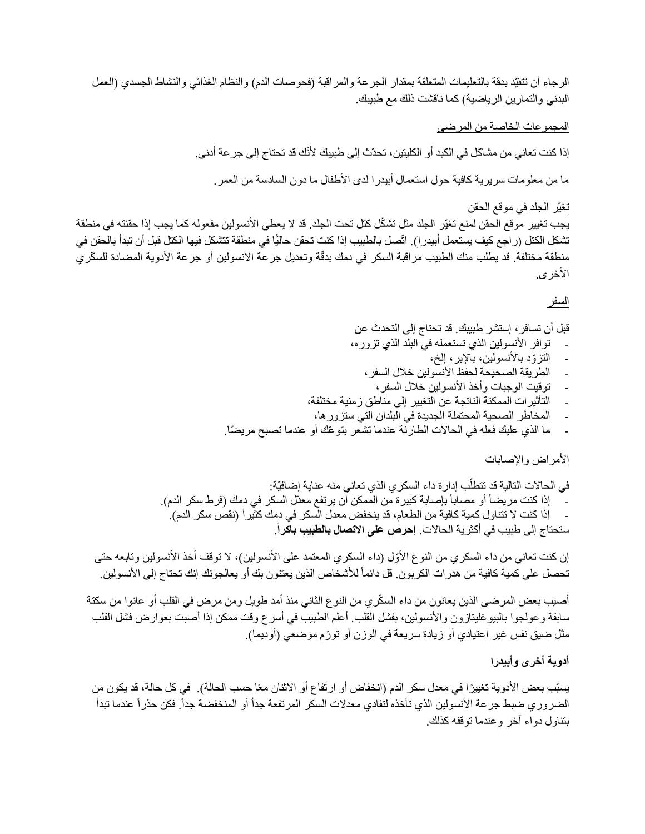الرجاء أن تتقيّد بدقة بالتعليمات المتعلقة بمقدار الجرعة والمراقبة (فحوصات الدم) والنظام الغذائي والنشاط الجسدي (العمل البدني والتمارين الرياضية) كما ناقشت ذلك مع طبيبك.

المجموعات الخاصة من المرضى

إذا كنت تعاني من مشاكل في الكبد أو الكليتين، تحدّث إلى طبيبك ألنّك قد تحتاج إلى جرعة أدنى.

ما من معلومات سريرية كافية حول استعمال أبيدرا لدى الأطفال ما دون السادسة من العمر.

#### تغيّر الجلد في موقع الحقن

يجب تغيير موقع الحقن لمنع تغيّر الجلد مثل تشكّل كتل تحت الجلد. قد لا يعطي الأنسولين مفعوله كما يجب إذا حقنته في منطقة تشكل الكتل (راجع كيف يستعمل أبيدرا). اتّصل بالطبيب إذا كنت تحقن حاليًّا في منطقة تتشكل فيها الكتل قبل أن تبدأ بالحقن في منطقة مختلفة. قد يطلب منك الطبيب مراقبة السكر في دمك بدقّة وتعديل جرعة الأنسولين أو جرعة الأدوية المضادة للسكّري الأخر ي.

#### السفر

قبل أن تسافر، إستشر طبيبك. قد تحتاج إلى التحدث عن توافر الأنسولين الذي تستعمله في البلد الذي تزوره،

- التزّود باألنسولين، باإلبر، إلخ،
- الطريقة الصحيحة لحفظ األنسولين خالل السفر،
	- توقيت الوجبات وأخذ األنسولين خالل السفر،
- التأثيرات الممكنة الناتجة عن التغيير إلى مناطق زمنية مختلفة،
- المخاطر الصحية المحتملة الجديدة في البلدان التي ستزورها،
- ما الذي عليك فعله في الحاالت الطارئة عندما تشعر بتو ّعك أو عندما تصبح مري ًضا.

#### الأمر اض والإصبابات

في الحالات التالية قد تتطلّب إدار ة داء السكر ي الذي تعاني منه عناية إضـافيّة: - إذا كنت مريضاً أو مصاباً بإصابة كبيرة من الممكن أن يرتفع معدّل السكر في دمك (فرط سكر الدم). إذا كنت لا تتناول كمية كافية من الطعام، قد ينخفض معدل السكر في دمك كثيراً (نقص سكر الدم). ستحتاج إلى طبيب في أكثرية الحاالت. **إحرص على االتصال بالطبيب باكرا** .

إن كنت تعاني من داء السكري من النوع الأوّل (داء السكري المعتمد على الأنسولين)، لا توقف أخذ الأنسولين وتابعه حتى تحصل على كمية كافية من هدرات الكربون. قل دائماً للأشخاص الذين يعتنون بك أو يعالجونك إنك تحتاج إلى الأنسولين.

أصيب بعض المرضى الذين يعانون من داء السكّري من النوع الثاني منذ أمد طويل ومن مرض في القلب أو عانوا من سكتة سابقة وعولجوا بالبيوغليتازون واألنسولين، بفشل القلب. أعلم الطبيب في أسرع وقت ممكن إذا أصبت بعوارض فشل القلب مثل ضيق نفس غير اعتيادي أو زيادة سريعة في الوزن أو تورّم موضعي (أوديما).

# **أدوية أخرى وأبيدرا**

يسبّب بعض الأدوية تغييرًا في معدل سكر الدم (انخفاض أو ارتفاع أو الاثنان معًا حسب الحالة). في كل حالة، قد يكون من الضروري ضبط جر عة الأنسولين الذي تأخذه لتفادي معدلات السكر المرتفعة جدأ أو المنخفضة جداً. فكن حذراً عندما تبدأ بتناول دواء آخر وعندما توقفه كذلك.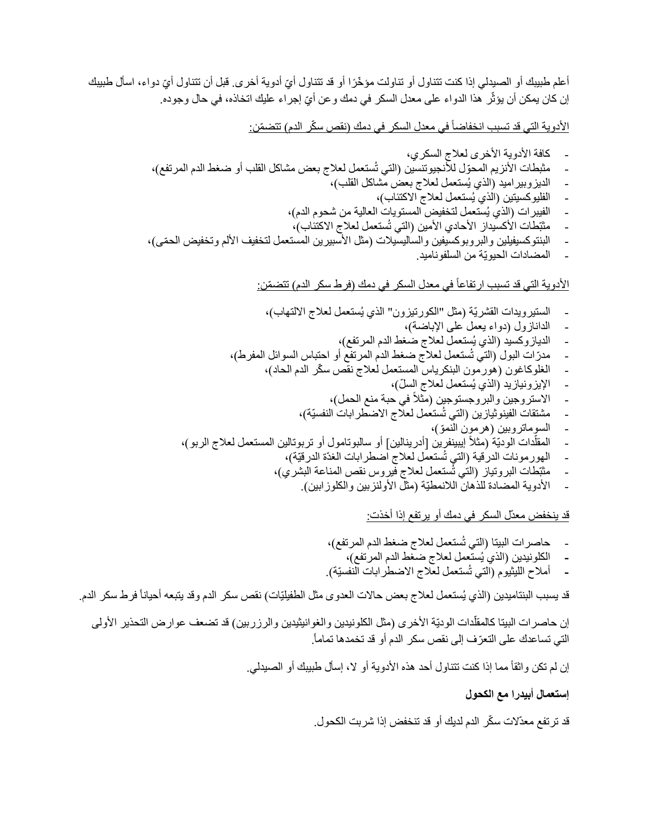أعلم طبيبك أو الصيدلي إذا كنت تتناول أو تناولت مؤخّرًا أو قد تتناول أيّ أدوية أخرى. قبل أن تتناول أيّ دواء، اسأل طبيبك إن كان يمكن أن يؤثّر هذا الدواء على معدل السكر في دمك و عن أيّ إجر اء عليك اتخاذه، في حال وجوده.

الأدوية التي قد تسبب انخفاضاً في معدل السكر في دمك (نقص سكّر الدم) تتضمّن:

- كافة األدوية األخرى لعالج السكري، - مثبطات األنزيم المحّول لألنجيوتنسين )التي تُستعمل لعالج بعض مشاكل القلب أو ضغط الدم المرتفع(، - الديزوبيراميد )الذي يُستعمل لعالج بعض مشاكل القلب(، - الفليوكسيتين )الذي يُستعمل لعالج االكتئاب(، - الفيبرات )الذي يُستعمل لتخفيض المستويات العالية من شحوم الدم(، - مثبّطات األكسيداز األحادي األمين )التي تُستعمل لعالج االكتئاب(، - البنتوكسيفيلين والبروبوكسيفين والساليسيالت )مثل األسبيرين المستعمل لتخفيف األلم وتخفيض الح ّمى(، - المضادات الحيويّة من السلفوناميد. ارتفاعا في معدل السكر في دمك )فرط سكر الدم( تتض ّمن: ً األدوية التي قد تسبب - الستيرويدات القشريّة )مثل "الكورتيزون" الذي يُستعمل لعالج االلتهاب(، - الدانازول )دواء يعمل على اإلباضة(، - الديازوكسيد )الذي يُستعمل لعالج ضغط الدم المرتفع(، - مدّرات البول )التي تُستعمل لعالج ضغط الدم المرتفع أو احتباس السوائل المفرط(، - الغلوكاغون )هورمون البنكرياس المستعمل لعالج نقص س ّكر الدم الحاد(، - اإليزونيازيد )الذي يُستعمل لعالج الس ّل(، في حبة منع الحمل(، - االستروجين والبروجستوجين )مثالً - مشتقات الفينوثيازين )التي تُستعمل لعالج االضطرابات النفسيّة(، - السوماتروبين )هرمون النمّو(، - دات الوديّة المقل إيبينفرين ]أدرينالين[ أو سالبوتامول أو تربوتالين المستعمل لعالج الربو(، ّ )مثالً - الهورمونات الدرقية )التي تُستعمل لعالج اضطرابات الغدّة الدرقيّة(، - مثبّطات البروتياز )التي تُستعمل لعالج فيروس نقص المناعة البشري(، - األدوية المضادة للذهان الالنمطيّة )مثل األولنزبين والكلوزابين(. قد ينخفض معدّل السكر في دمك أو يرتفع إذا أخذت:

- حاصرات البيتا )التي تُستعمل لعالج ضغط الدم المرتفع(،

- **-** الكلونيدين )الذي يُستعمل لعالج ضغط الدم المرتفع(،
- **-** أمالح الليثيوم )التي تُستعمل لعالج االضطرابات النفسيّة(.

قد يسبب البنتاميدين (الذي يُستعمل لعلاج بعض حالات العدوى مثل الطفيليّات) نقص سكر الدم وقد يتبعه أحياناً فرط سكر الدم.

֖֖֖֖֖֖֖֖֖֧֚֚֚֚֚֚֚֚֚֚֚֚֚֚֚֚֚֡֝<u>֓</u> إن حاصرات البيتا كالمقلّدات الوديّة الأخرى (مثل الكلونيدين والغوانيثيدين والرزربين) قد تضعف عوارض التحذير الأولى التي تساعدك على التعرّف إلى نقص سكر الدم أو قد تخمدها تماماً.

إن لم تكن واثقاً مما إذا كنت تتناول أحد هذه الأدوية أو لا، إسأل طبيبك أو الصيدلي.

**إستعمال أبيدرا مع الكحول**

قد ترتفع معدّلات سكّر الدم لديك أو قد تنخفض إذا شربت الكحول.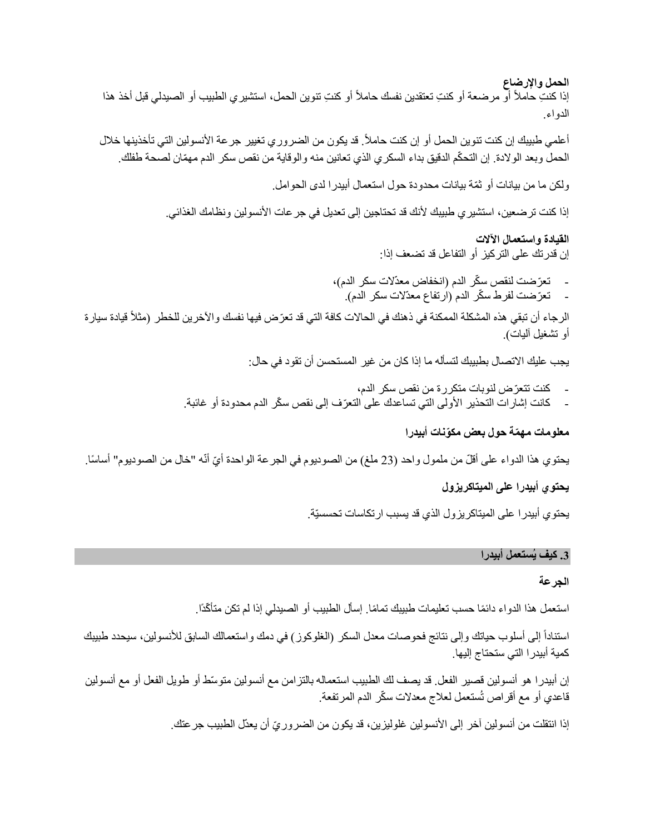**الحمل واإلرضاع** إذا كنتِ حاملاً أو مرضعة أو كنتِ تعتقدين نفسك حاملاً أو كنتِ تتوين الحمل، استشير ي الطبيب أو الصيدلي قبل أخذ هذا الدواء.

أعلمي طبيبك إن كنت تنوين الحمل أو إن كنت حاملاً. قد يكون من الضروري تغيير جرعة الأنسولين التي تأخذينها خلال الحمل وبعد الولادة. إن التحكّم الدقيق بداء السكري الذي تعانين منه والوقاية من نقص سكر الدم مهمّان لصحة طفلك.

ولكن ما من بيانات أو ثمّة بيانات محدودة حول استعمال أبيدرا لدى الحوامل.

إذا كنت تر ضعين، استشير ي طبيبك لأنك قد تحتاجين إلى تعديل في جر عات الأنسولين ونظامك الغذائي.

**القيادة واستعمال اآلالت** إن قدرتك على التركيز أو التفاعل قد تضعف إذا:

تعرّضت لنقص سكّر الدم (انخفاض معدّلات سكر الدم)، - تعرّضت لفرط سكّر الدم (ارتفاع معدّلات سكر الدم).

الرجاء أن تبقي هذه المشكلة الممكنة في ذهنك في الحالات كافة التي قد تعرّض فيها نفسك والأخرين للخطر (مثلاً قيادة سيارة أو تشغيل أليات).

يجب عليك االتصال بطبيبك لتسأله ما إذا كان من غير المستحسن أن تقود في حال:

- كنت تتعّرض لنوبات متكررة من نقص سكر الدم،
- كانت إشارات التحذير الأولى التي تساعدك على التعرّف إلى نقص سكّر الدم محدودة أو غائبة.

## **معلومات مه ّمة حول بعض مكّونات أبيدرا**

يحتوي هذا الدواء على أقلّ من ملمول واحد (23 ملغ) من الصوديوم في الجرعة الواحدة أيّ أنّه "خال من الصوديوم" أساسًا.

### **يحتوي أبيدرا على الميتاكريزول**

يحتوي أبيدرا على الميتاكريزول الذي قد يسبب ارتكاسات تحسسيّة.

#### **.3 كيف يُستعمل أبيدرا**

### **الجرعة**

استعمل هذا الدواء دائمًا حسب تعليمات طبيبك تمامًا. إسأل الطبيب أو الصبدلي إذا لم تكن متأكّدًا.

استناداً إلى أسلوب حياتك وإلى نتائج فحوصات معدل السكر (الغلوكوز) في دمك واستعمالك السابق للأنسولين، سيحدد طبيبك كمية أبيدرا التي ستحتاج إليها.

إن أبيدرا هو أنسولين قصير الفعل. قد يصف لك الطبيب استعماله بالتزامن مع أنسولين متو ّسط أو طويل الفعل أو مع أنسولين قاعدي أو مع أقراص تُستعمل لعلاج معدلات سكّر الدم المرتفعة.

إذا انتقلت من أنسولين آخر إلى الأنسولين غلوليزين، قد يكون من الضرور يّ أن يعدّل الطبيب جرعتك.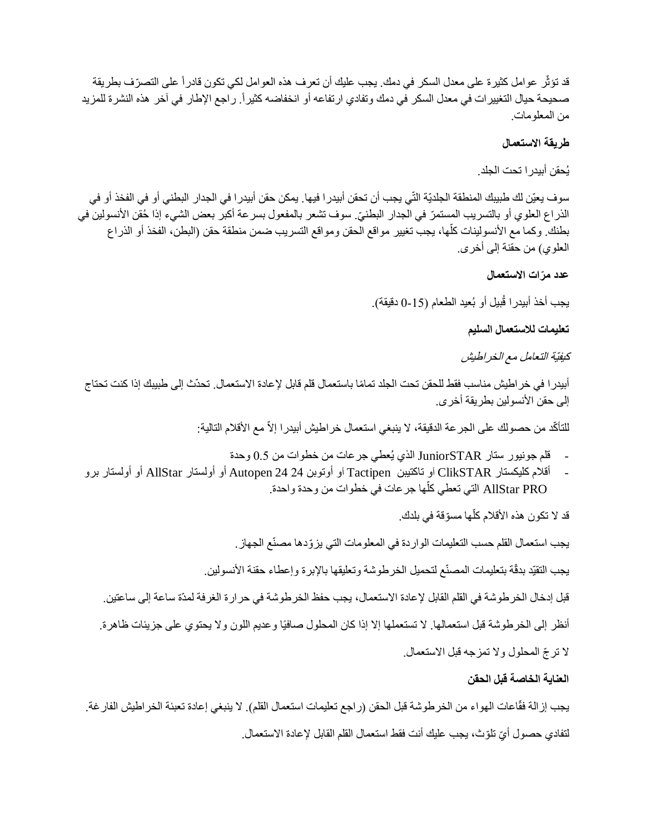قد تؤثّر عوامل كثير ة على معدل السكر ٍ في دمك. يجب عليك أن تعرف هذه العوامل لكي تكون قادر أ علي التصرّ ف بطر يقة صحيحة حيال التغييرات في معدل السكر في دمك وتفادي ارتفاعه أو انخفاضه كثيرا.ً راجع اإلطار في آخر هذه النشرة للمزيد من المعلومات.

## **طريقة االستعمال**

يُحقن أبيدرا تحت الجلد.

سوف يعيّن لك طبيبك المنطقة الجلديّة التّي يجب أن تحقن أبيدرا فيها. يمكن حقن أبيدرا في الجدار البطني أو في الفخذ أو في الذراع العلوي أو بالتسريب المستمرّ في الجدار البطنيّ. سوف تشعر بالمفعول بسرعة أكبر بعض الشيء إذا حُقن الأنسولين في ֖֖֖֖֖֖֖֖֖֖֖֚֚֚֚֚֚֚֚֚֚֚֚֡֬**֚** بطنك. وكما مع الأنسولينات كلُّها، يجب تغيير مواقع الحقن ومواقع التسريب ضمن منطقة حقن (البطن، الفخذ أو الذراع العلوي) من حقنة إلى أخرى.

### **عدد م ّرات االستعمال**

يجب أخذ أبيدرا قُبيل أو بُعيد الطعام (15-0 دقيقة).

**تعليمات لالستعمال السليم** 

كيفيّة التعامل مع الخراطيش

أبيدر ا في خر اطيش مناسب فقط للحقن تحت الجلد تمامًا باستعمال قلم قابل لإعادة الاستعمال. تحدّث إلى طبيبك إذا كنت تحتاج إلى حقن الأنسولين بطريقة أخرى.

للتأكّد من حصولك على الجر عة الدقيقة، لا ينبغي استعمال خر اطيش أبيدر ا إلاّ مع الأقلام التالية:

- قلم جونيور ستار JuniorSTAR الذي يُعطي جرعات من خطوات من 0.5 وحدة
- أقالم كليكستار ClikSTAR أو تاكتيبن Tactipen أو أوتوبن 24 24 Autopen أو أولستار AllStar أو أولستار برو AllStar PRO التي تعطي كلها جر عات في خطوات من وحدة واحدة. أ

֧֖֖֖֖֖֖֖֖֖֚֚֚֚֚֚֚֚֚֚֚֚֚֝֟֟֓֝֬**֓** قد لا تكون هذه الأقلام كلّها مسوّقة في بلدك.

يجب استعمال القلم حسب التعليمات الواردة في المعلومات التي يزّودها مصنّع الجهاز.

يجب التقيّد بدقّة بتعليمات المصنّع لتحميل الخرطوشة وتعليقها بالإبرة وإعطاء حقنة الأنسولين.

قبل إدخال الخرطوشة في القلم القابل إلعادة االستعمال، يجب حفظ الخرطوشة في حرارة الغرفة لمدّة ساعة إلى ساعتين. أنظر إلى الخرطوشة قبل استعمالها. لا تستعملها إلا إذا كان المحلول صافيًا وعديم اللون ولا يحتوي على جزيئات ظاهرة. ال تر ّج المحلول وال تمزجه قبل االستعمال.

# **العناية الخاصة قبل الحقن**

يجب إز الة فقّاعات الهواء من الخرطوشة قبل الحقن (ر اجع تعليمات استعمال القلم). لا ينبغي إعادة تعبئة الخر اطيش الفارغة. لتفادي حصول أيّ تلوّث، يجب عليك أنت فقط استعمال القلم القابل لإعادة الاستعمال.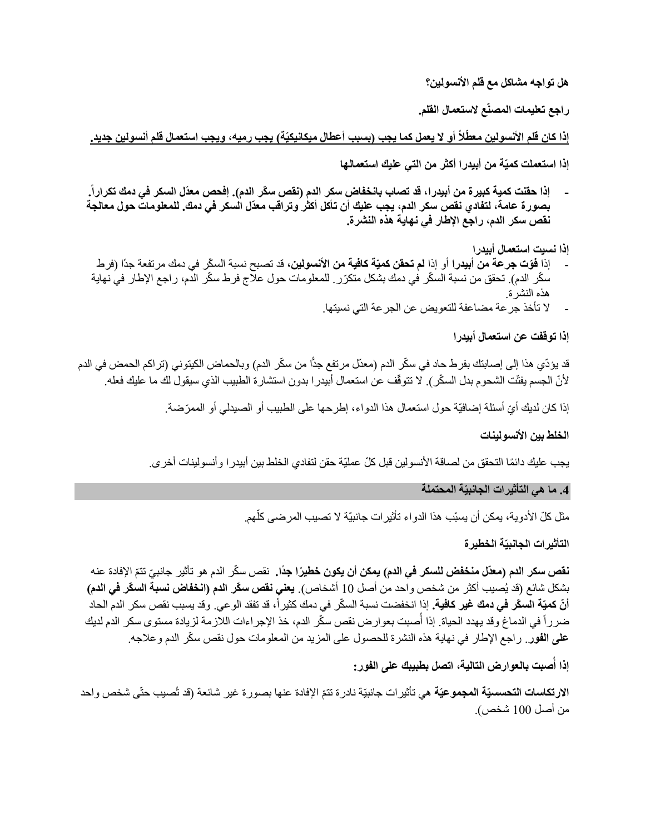**هل تواجه مشاكل مع قلم األنسولين؟**

**راجع تعليمات المصنّع الستعمال القلم.**

إذا كان قلم الأنسولين معطِّلاً أو لا يعمل كما يجب (بسبب أعطال ميكانيكيّة) يجب رميه، ويجب استعمال قلم أنسولين جديد.

**إذا استعملت كميّة من أبيدرا أكثر من التي عليك استعمالها**

**- إذا حقنت كمية كبيرة من أبيدرا، قد تصاب بانخفاض سكر الدم )نقص س ّكر الدم(. إفحص معّدل السكر في دمك تكرارا . بصورة عامة، لتفادي نقص سكر الدم، يجب عليك أن تأكل أكثر وتراقب معدّل السكر في دمك. للمعلومات حول معالجة نقص سكر الدم، راجع اإلطار في نهاية هذه النشرة.**

**إذا نسيت استعمال أبيدرا**

- إذا **فوّت جرعة من أبيدرا** أو إذا **لم تحقن كميّة كافية من الأنسولين،** قد تصبح نسبة السكّر في دمك مرتفعة جدًا (فرط سكّر الدم). تحقق من نسبة السكّر في دمك بشكل متكرّر . للمعلومات حول علاج فرط سكّر الدم، راجع الإطار في نهاية هذه النشرة.
	- ال تأخذ جرعة مضاعفة للتعويض عن الجرعة التي نسيتها.

**إذا توقفت عن استعمال أبيدرا**

قد يؤدّي هذا إلى إصابتك بفرط حاد في سكّر الدم (معدّل مرتفع جدًّا من سكّر الدم) وبالحماض الكيتوني (تراكم الحمض في الدم لأنّ الجسم يفتّت الشحوم بدل السكّر ). لا تتوقّف عن استعمال أبيدر ا بدون استشارة الطبيب الذي سيقول لك ما عليك فعله.

إذا كان لديك أيّ أسئلة إضافيّة حول استعمال هذا الدواء، إطرحها على الطبيب أو الصيدلي أو الممرّضة.

#### الخلط بي*ن* الأنسو لينات

يجب عليك دائمًا التحقق من لصـاقة الأنسولين قبل كلّ عمليّة حقن لتفادي الخلط بين أبيدرا وأنسولينات أخر ي.

**.4 ما هي التأثيرات الجانبيّة المحتملة**

مثل كلّ الأدوية، يمكن أن يسبّب هذا الدواء تأثيرات جانبيّة لا تصيب المرضى كلّهم. j

**التأثيرات الجانبيّة الخطيرة**

**نقص سكر الدم (معدّل منخفض للسكر في الدم) <b>يمكن أن يكون خطيرًا جدًا.** نقص سكّر الدم هو تأثير جانبيّ تتمّ الإفادة عنه بشكل شائع )قد يُصيب أكثر من شخص واحد من أصل 10 أشخاص(. **يعني نقص سكّر الدم )انخفاض نسبة السكّر في الدم(**  أ**نّ كميّة السكّر في دمك غير كافية.** إذا انخفضت نسبة السكّر في دمك كثيراً، قد تفقد الوعي. وقد يسبب نقص سكر الدم الحاد ضرراً في الدماغ وقد يهدد الحياة. إذا أُصبت بعوارض نقص سكّر الدم، خذ الإجراءات اللازمة لزيادة مستوى سكر الدم لديك **على الفور**. راجع اإلطار في نهاية هذه النشرة للحصول على المزيد من المعلومات حول نقص س ّكر الدم وعالجه.

**ُصبت بالعوارض التالية، اتصل بطبيبك على الفور: إذا أ**

الارت**كاسات التحسسيّة المجموعيّة** هي تأثير ات جانبيّة نادرة تتمّ الإفادة عنها بصورة غير شائعة (قد تُصيب حتّى شخص واحد من أصل 100 شخص(.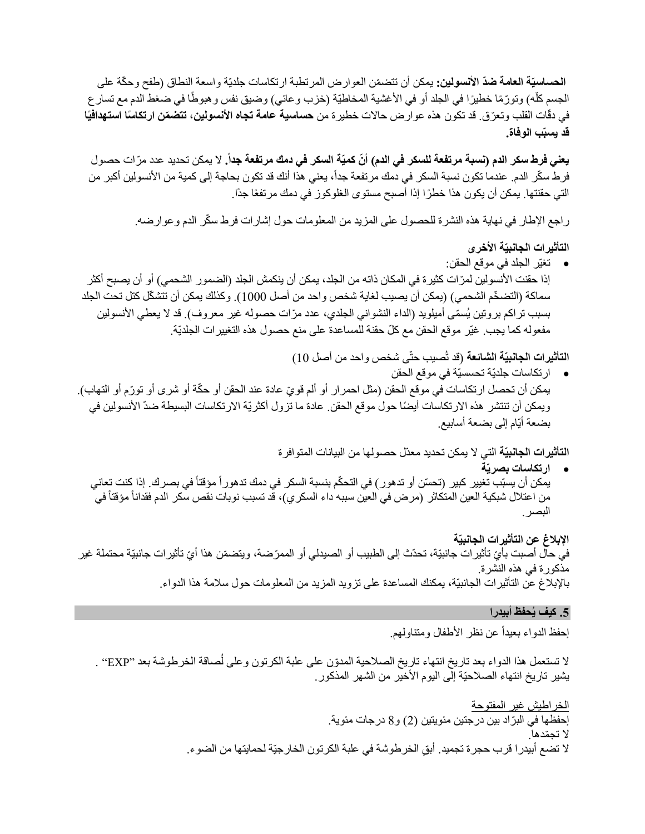ا**لحساسيّة العامة ضدّ الأنسولين:** يمكن أن تتضمّن العوار ض المرتطبة ارتكاسات جلديّة واسعة النطاق (طفح وحكّة على الجسم كلّه) وتورّمًا خطيرًا في الجلد أو في الأغشية المخاطيّة (خزب وعائي) وضيق نفس وهبوطًا في ضغط الدم مع تسار ع ٳٚ في دقّات القلب وتعرّق. قد تكون هذه عوار ض حالات خطيرة من **حساسية عامة تجاه الأنسولين، تتضمّن ارتكاسًا استهدافيًا قد يسبّب الوفاة.**

**يعني فرط سكر الدم (نسبة مرتفعة للسكر في الدم) أنّ كميّة السكر في دمك مرتفعة جداً.** لا يمكن تحديد عدد مرّات حصول فرط سكّر الدم. عندما تكون نسبة السكر في دمك مرتفعة جداً، يعني هذا أنك قد تكون بحاجة إلى كمية من الأنسولين أكبر من التي حقنتها. يمكن أن يكون هذا خط ًرا إذا أصبح مستوى الغلوكوز في دمك مرتفعًا جدًا.

راجع اإلطار في نهاية هذه النشرة للحصول على المزيد من المعلومات حول إشارات فرط س ّكر الدم وعوارضه.

# **التأثيرات الجانبيّة األخرى**

 تغيّر الجلد في موقع الحقن: إذا حقنت الأنسولين لمرّات كثيرة في المكان ذاته من الجلد، يمكن أن ينكمش الجلد (الضمور الشحمي) أو أن يصبح أكثر سماكة (التضخّم الشحمي) (يمكن أن يصيب لغاية شخص واحد من أصل 1000). وكذلك يمكن أن تتشكّل كتل تحت الجلد بسبب تراكم بروتين يُسمّى أميلويد (الداء النشواني الجلدي، عدد مرّات حصوله غير معروف). قد لا يعطي الأنسولين مفعوله كما يجب. غيّر موقع الحقن مع كلّ حقنة للمساعدة على منع حصول هذه التغييرات الجلديّة.

**التأثيرات الجانبيّة الشائعة** )قد تُصيب حتّى شخص واحد من أصل 10(

 ارتكاسات جلديّة تحسسيّة في موقع الحقن يمكن أن تحصل ارتكاسات في موقع الحقن (مثل احمرار أو ألم قويّ عادة عند الحقن أو حكّة أو شرى أو تورّم أو التهاب). ويمكن أن تنتشر هذه الارتكاسات أيضًا حول موقع الحقن. عادة ما تزول أكثريّة الارتكاسات البسيطة ضدّ الأنسولين في بضعة أيّام إلى بضعة أسابيع.

**التأثيرات الجانبيّة** التي ال يمكن تحديد معدّل حصولها من البيانات المتوافرة

 **ارتكاسات بصريّة** يمكن أن يسبّب تغيير كبير (تحسّن أو تدهور ) في التحكّم بنسبة السكر في دمك تدهور أ مؤقتاً في بصرك. إذا كنت تعاني من اعتلال شبكية العين المتكاثر (مرض في العين سببه داء السكري)، قد تسبب نوبات نقص سكر الدم فقداناً مؤقتاً في البصر.

**اإلبالغ عن التأثيرات الجانبيّة** في حال أصبت بأيّ تأثير ات جانبيّة، تحدّث إلى الطبيب أو الصيدلي أو الممرّضة، ويتضمّن هذا أيّ تأثير ات جانبيّة محتملة غير مذكورة في هذه النشرة. باإلبالغ عن التأثيرات الجانبيّة، يمكنك المساعدة على تزويد المزيد من المعلومات حول سالمة هذا الدواء.

#### **.5 كيف يُحفظ أبيدرا**

إحفظ الدواء بعيداً عن نظر الأطفال ومتناولهم.

لا تستعمل هذا الدواء بعد تاريخ انتهاء تاريخ الصلاحية المدوّن على علبة الكرتون وعلى لُصاقة الخرطوشة بعد "EXP" . يشير تاريخ انتهاء الصالحيّة إلى اليوم األخير من الشهر المذكور.

> الخراطيش غير المفتوحة إحفظها في البرّاد بين درجتين مئويتين (2) و8 درجات مئوية. ال تج ّمدها. لا تضع أبيدرا قرب حجرة تجميد. أبقِ الخرطوشة في علبة الكرتون الخارجيّة لحمايتها من الضوء.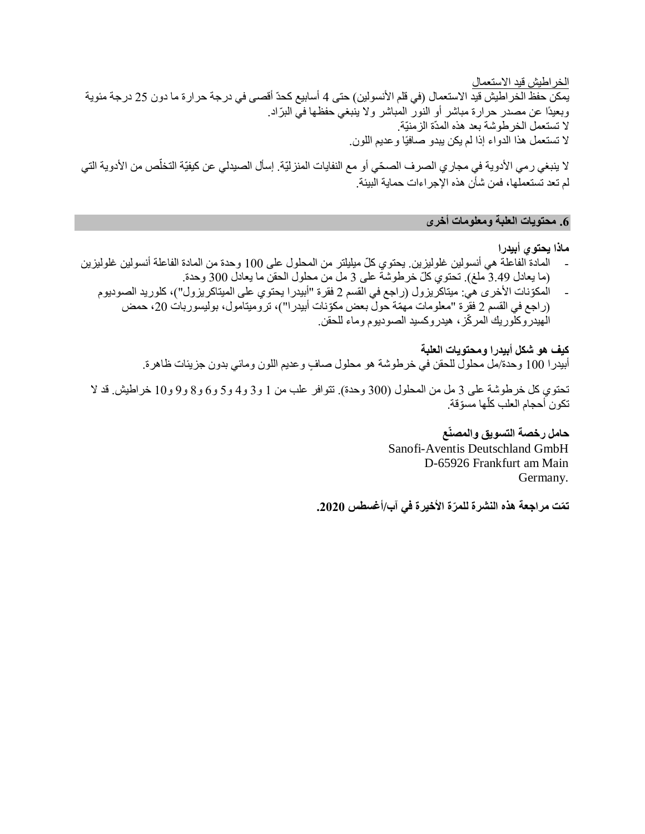الخراطيش قيد االستعمال يمكن حفظ الخراطيش قيد الاستعمال (في قلم الأنسولين) حتى 4 أسابيع كحدّ أقصىي في درجة حرارة ما دون 25 درجة مئوية وبعيدًا عن مصدر حرارة مباشر أو النور المباشر ولا ينبغي حفظها في البرّاد. ال تستعمل الخرطوشة بعد هذه المدّة الزمنيّة. ال تستعمل هذا الدواء إذا لم يكن يبدو صافيًا وعديم اللون.

لا ينبغي ر مي الأدوية في مجار ي الصرف الصحّي أو مع النفايات المنزليّة. إسأل الصيدلي عن كيفيّة التخلّص من الأدوية التي لم تعد تستعملها، فمن شأن هذه اإلجراءات حماية البيئة.

### **.6 محتويات العلبة ومعلومات أخرى**

**ماذا يحتوي أبيدرا**

- المادة الفاعلة هي أنسولين غلوليزين. يحتوي ك ّل ميليلتر من المحلول على 100 وحدة من المادة الفاعلة أنسولين غلوليزين (ما يعادل 3.49 ملغ). تحتوي كلّ خرطوشة على 3 مل من محلول الحقن ما يعادل 300 وحدة.
	- المكّونات األخرى هي: ميتاكريزول )راجع في القسم 2 فقرة "أبيدرا يحتوي على الميتاكريزول"(، كلوريد الصوديوم )راجع في القسم 2 فقرة "معلومات مهّمة حول بعض مكّونات أبيدرا"(، تروميتامول، بوليسوربات ،20 حمض الهيدروكلوريك المر ّكز، هيدروكسيد الصوديوم وماء للحقن.

**كيف هو شكل أبيدرا ومحتويات العلبة** أبيدرا 100 وحدة/مل محلول للحقن في خرطوشة هو محلول صافٍ وعديم اللون ومائي بدون جزيئات ظاهرة.

تحتوي كل خرطوشة على 3 مل من المحلول (300 وحدة). تتوافر علب من 1 و3 و4 و5 و6 و8 و9 و10 خراطيش. قد لا تكون أحجام العلب كلها مسوّقة. ٳ

> **حامل رخصة التسويق والمصنّع** Sanofi-Aventis Deutschland GmbH D-65926 Frankfurt am Main Germany.

**ت ّمت مراجعة هذه النشرة للم ّرة األخيرة في آب/أغسطس .2020**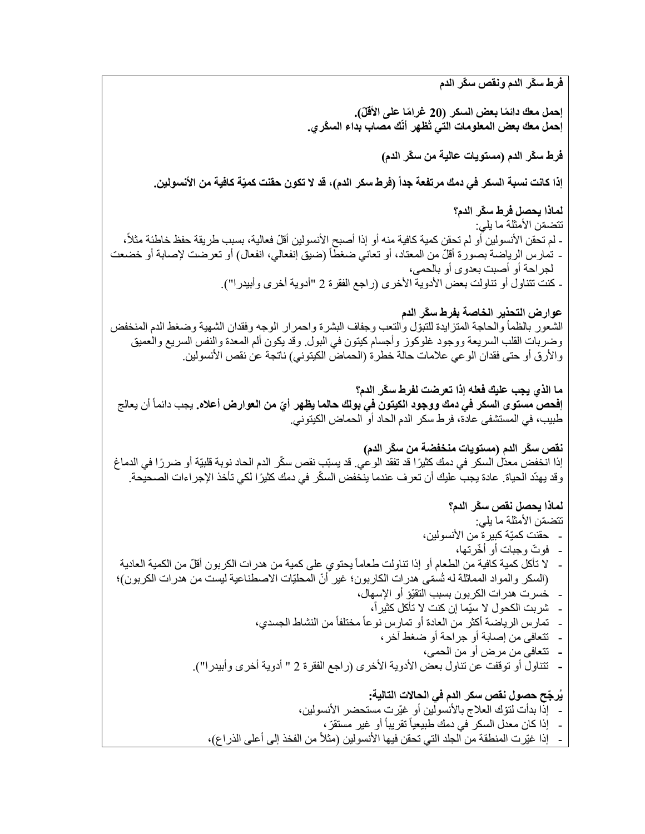**فرط سكّر الدم ونقص سكّر الدم** إ**حمل معك دائمًا بعض السكر (20 غرامًا على الأقلّ). إحمل معك بعض المعلومات التي تُظهر أنّك مصاب بداء الس ّكري. فرط سكّر الدم )مستويات عالية من سكّر الدم( إذا كانت نسبة السكر في دمك مرتفعة جدا )فرط سكر الدم(، قد ال تكون حقنت كميّة كافية من األنسولين. لماذا يحصل فرط سكّر الدم؟** تتضمّن الأمثلة ما يلي: - لم تحقن الأنسولين أو لم تحقن كمية كافية منه أو إذا أصبح الأنسولين أقلّ فعالية، بسبب طريقة حفظ خاطئة مثلاً، - تمارس الرياضة بصورة أقلّ من المعتاد، أو تعاني ضغطاً (ضيق إنفعالي، انفعال) أو تعرضت لإصابة أو خضعت لجراحة أو أصبت بعدوى أو بالحمى، - كنت تتناول أو تناولت بعض الأدوية الأخرى (راجع الفقرة 2 "أدوية أخرى وأبيدرا"). **عوارض التحذير الخاصة بفرط سكّر الدم** الشعور بالظمأ والحاجة المتزايدة للتبوّل والتعب وجفاف البشرة واحمرار الوجه وفقدان الشهية وضغط الدم المنخفض وضربات القلب السريعة ووجود غلوكوز وأجسام كيتون في البول. وقد يكون ألم المعدة والنفس السريع والعميق والأرق أو حتى فقدان الوعي علامات حالة خطرة (الحماض الكيتوني) ناتجة عن نقص الأنسولين. **ما الذي يجب عليك فعله إذا تعرضت لفرط سكّر الدم؟ إفحص مستوى السكر في دمك ووجود الكيتون في بولك حالما يظهر أ** أن يعالج **ّي من العوارض أعاله.** يجب دائماً طبيب، في المستشفى عادة، فرط سكر الدم الحاد أو الحماض الكيتوني. **نقص سكّر الدم )مستويات منخفضة من سكّر الدم(** إذا انخفض معدّل السكر في دمك كثيرًا قد تفقد الوعي. قد يسبّب نقص سكّر الدم الحاد نوبة قلبيّة أو ضر رًا في الدماغ وقد يهدّد الحياة. عادة يجب عليك أن تعرف عندما ينخفض السكّر في دمك كثيرًا لكي تأخذ الإجراءات الصحيحة. **لماذا يحصل نقص سكّر الدم؟** تتضمّن الأمثلة ما يلي: - حقنت كميّة كبيرة من األنسولين، - فو ّت وجبات أو أ ّخرتها، لا تأكل كمية كافية من الطعام أو إذا تناولت طعاماً يحتوي على كمية من هدرات الكربون أقلّ من الكمية العادية (السكر والمواد المماثلة له تُسمّى هدرات الكاربون؛ غير أنّ المحلّيّات الاصطناعية ليست من هدرات الكربون)؛ - خسرت هدرات الكربون بسبب التقيّؤ أو اإلسهال، - شربت الكحول ال سيّما إن كنت ال تأكل كثيرا،ً - تمارس الرياضة أكثر من العادة أو تمارس نوعاً مختلفاً من النشاط الجسدي، - تتعافى من إصابة أو جراحة أو ضغط آخر، **-** تتعافى من مرض أو من الحمى، **-** تتناول أو توقفت عن تناول بعض األدوية األخرى )راجع الفقرة 2 " أدوية أخرى وأبيدرا"(. **يُر ّجح حصول نقص سكر الدم في الحاالت التالية:** - إذا بدأت لتّوك العالج باألنسولين أو غيّرت مستحضر األنسولين، - إذا كان معدل السكر ً في دمك طبيعياً تقريباً أو غير مستقرّ ، - إذا غيّرت المنطقة من الجلد التي تحقن فيها الأنسولين (مثلاً من الفخذ إلى أعلى الذراع)،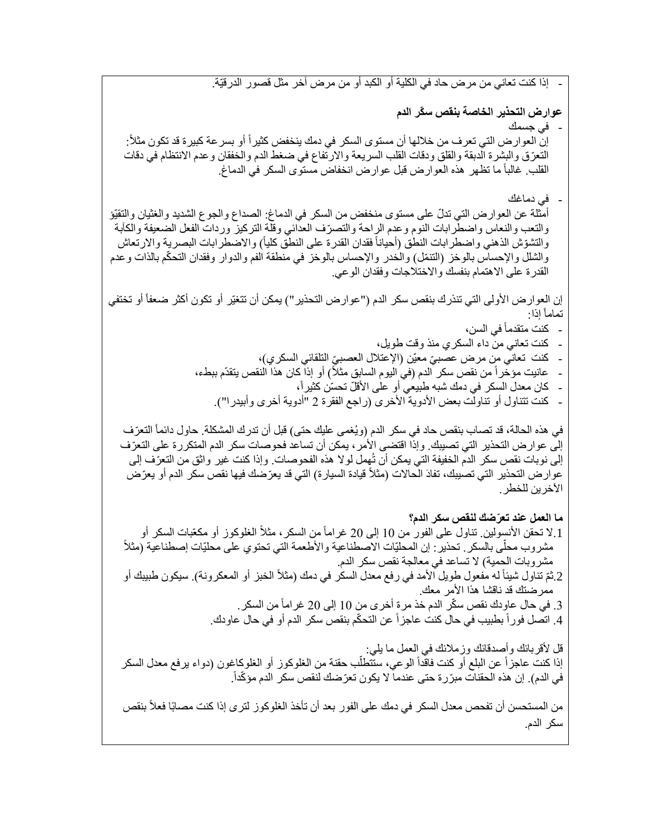**عوارض التحذير الخاصة بنقص سكّر الدم** - في جسمك إنّ العوار ض التي تعرف من خلالها أن مستوى السكر في دمك ينخفض كثيراً أو بسر عة كبيرة قد تكون مثلاً: التعّرق والبشرة الدبقة والقلق ودقات القلب السريعة واالرتفاع في ضغط الدم والخفقان وعدم االنتظام في دقات القلب. غالباً ما تظهر هذه العوارض قبل عوارض انخفاض مستوى السكر في الدماغ. في دماغك أمثلة عن العوارض التي تدلّ على مستوى منخفض من السكر في الدماغ: الصداع والجوع الشديد والغثيان والتقيّؤ والتعب والنعاس واضطرابات النوم وعدم الراحة والتصرّف العدائي وقلة التركيز وردات الفعل الضعيفة والكأبة والتشوّش الذهني واضطرابات النطق (أحياناً فقدان القدرة على النطق كلياً) والاضطرابات البصرية والارتعاش والشلل والإحساس بالوخز (النتمّل) والخدر والإحساس بالوخز في منطقة الفم والدوار وفقدان التحكّم بالذات وعدم القدرة على االهتمام بنفسك واالختالجات وفقدان الوعي. إن العوار ض الأولى التي تنذرك بنقص سكر الدم ("عوارض التحذير ") يمكن أن تتغيّر أو تكون أكثر ضعفاً أو تختفي إذا: تماماً - كنت متقدماً في السن، - كنت تعاني من داء السكري منذ وقت طويل، - كنت تعاني منٍ مرض عصبيّ معيّن (الإعتلال العصبيِّ النّلقائي السكري)، عانيت مؤخراً من نقص سكر الدم (في اليوم السابق مثلاً) أو إذا كان هذا النقص يتقدّم ببطء، كان معدل السكر في دمك شبه طبيعي أو على الأقلّ تحسّن كثيراً، كنت تتناول أو تناولت بعض الأدوية الأخرى (راجع الفقرة 2 "أدوية أخرى وأبيدرا"). في هذه الحالة، قد تصـاب بنقص حاد في سكر الدم (ويُغمى عليك حتى) قبل أن تدرك المشكلة. حاول دائماً التعرّف إلى عوارض التحذير التي تصيبك. وإذا اقتضى الأمر ، يمكن أن تساعد فحوصات سكر الدم المتكررة على التعرّف إلى نوبات نقص سكر الدم الخفيفة التي يمكن أن تُهمل لوال هذه الفحوصات. وإذا كنت غير واثق من التعّرف إلى عوارض التحذير التي تصيبك، تفادَ الْحالات (مثلاً قيادة السيارة) التي قد يعرّضك فيها نقص سكر الدم أو يعرّض الآخر ين للخطر . **ما العمل عند تعّرضك لنقص سكر الدم؟** 1.لا تحقن الأنسولين. تناول على الفور من 10 إلى 20 غراماً من السكر ، مثلاً الغلوكوز أو مكعّبات السكر أو مشروب محلّى بالسكر . تحذير : إن المحليّات الاصطناعية والأطعمة التي تحتوي على محليّات إصطناعية (مثلاً مشروبات الحمية) لا تساعد في معالجة نقص سكر الدم. 2 ثمّ تناول شيئاً له مُفعول طويل الأمد في رفع معدل السكر في دمك (مثلاً الخبز أو المعكرونة). سيكون طبيبك أو ممر ضناك قد ناقشا هذا الأمر معك. 3. في حال عاودك نقص سكّر الدم خذ مرة أخرى من 10 إلى 20 غراماً من السكر . 4. اتصل فوراً بطبيب في حال كنت عاجزاً عن التحكّم بنقص سكر الدم أو في حال عاودك. قل لأقربائك وأصدقائك وزملائك في العمل ما يلي: إذا كنت عاجزاً عن البلع أو كنت فاقداً الوعي، ستُنطلّب حقنة من الغلوكوز أو الغلوكاغون (دواء يرفع معدل السكر في الدم). إن هذه الحقنات مبرّرة حتى عندما لا يكون تعرّضك لنقص سكر الدم مؤكّداً. من المستحسن أن تفحص معدل السكر في دمك على الفور بعد أن تأخذ الغلوكوز لترى إذا كنت مصـابًا فعلأ بنقص سكر الدم.

- إذا كنت تعاني من مرض حاد في الكلية أو الكبد أو من مرض آخر مثل قصور الدرقيّة.